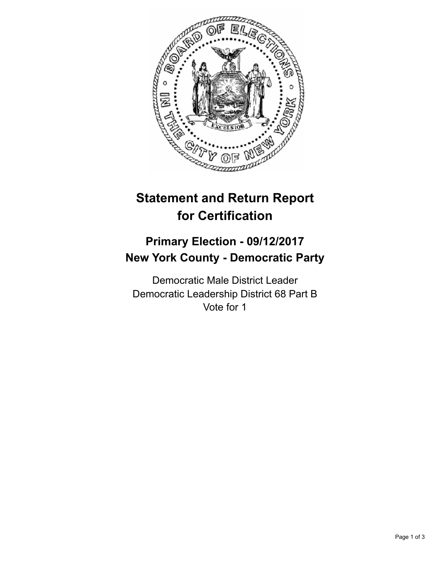

## **Statement and Return Report for Certification**

## **Primary Election - 09/12/2017 New York County - Democratic Party**

Democratic Male District Leader Democratic Leadership District 68 Part B Vote for 1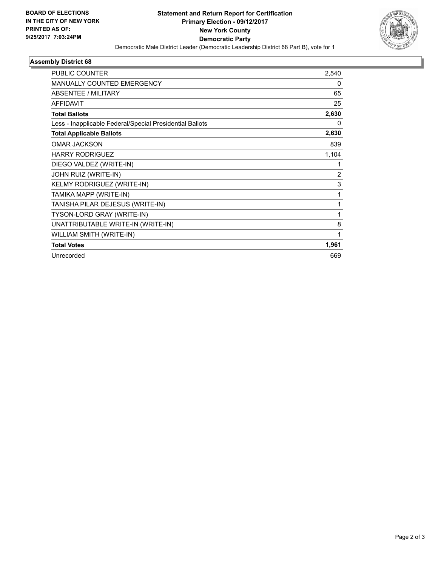

## **Assembly District 68**

| 2,540        |
|--------------|
| 0            |
| 65           |
| 25           |
| 2,630        |
| $\Omega$     |
| 2,630        |
| 839          |
| 1,104        |
| 1            |
| 2            |
| 3            |
| 1            |
| 1            |
| 1            |
| 8            |
| $\mathbf{1}$ |
| 1,961        |
| 669          |
|              |